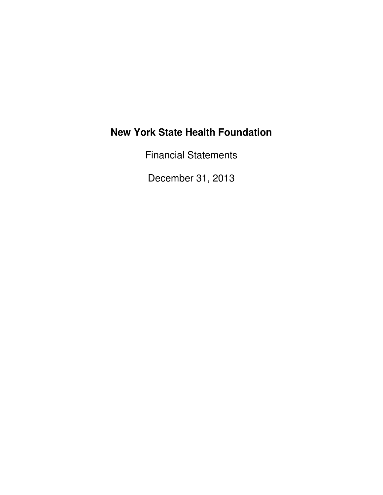Financial Statements

December 31, 2013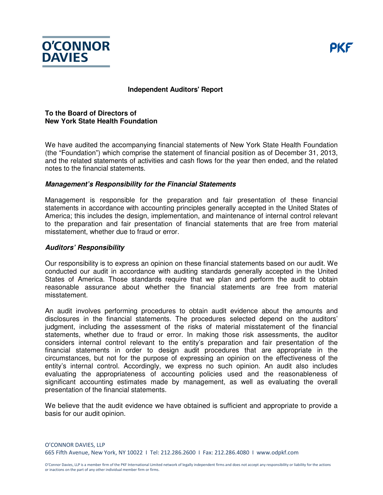



# **Independent Auditors' Report**

# **To the Board of Directors of New York State Health Foundation**

We have audited the accompanying financial statements of New York State Health Foundation (the "Foundation") which comprise the statement of financial position as of December 31, 2013, and the related statements of activities and cash flows for the year then ended, and the related notes to the financial statements.

## **Management's Responsibility for the Financial Statements**

Management is responsible for the preparation and fair presentation of these financial statements in accordance with accounting principles generally accepted in the United States of America; this includes the design, implementation, and maintenance of internal control relevant to the preparation and fair presentation of financial statements that are free from material misstatement, whether due to fraud or error.

# **Auditors' Responsibility**

Our responsibility is to express an opinion on these financial statements based on our audit. We conducted our audit in accordance with auditing standards generally accepted in the United States of America. Those standards require that we plan and perform the audit to obtain reasonable assurance about whether the financial statements are free from material misstatement.

An audit involves performing procedures to obtain audit evidence about the amounts and disclosures in the financial statements. The procedures selected depend on the auditors' judgment, including the assessment of the risks of material misstatement of the financial statements, whether due to fraud or error. In making those risk assessments, the auditor considers internal control relevant to the entity's preparation and fair presentation of the financial statements in order to design audit procedures that are appropriate in the circumstances, but not for the purpose of expressing an opinion on the effectiveness of the entity's internal control. Accordingly, we express no such opinion. An audit also includes evaluating the appropriateness of accounting policies used and the reasonableness of significant accounting estimates made by management, as well as evaluating the overall presentation of the financial statements.

We believe that the audit evidence we have obtained is sufficient and appropriate to provide a basis for our audit opinion.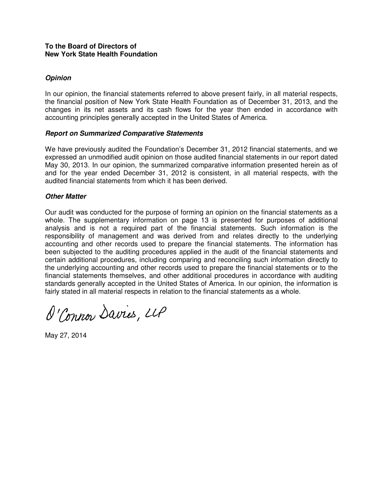# **To the Board of Directors of New York State Health Foundation**

# **Opinion**

In our opinion, the financial statements referred to above present fairly, in all material respects, the financial position of New York State Health Foundation as of December 31, 2013, and the changes in its net assets and its cash flows for the year then ended in accordance with accounting principles generally accepted in the United States of America.

# **Report on Summarized Comparative Statements**

We have previously audited the Foundation's December 31, 2012 financial statements, and we expressed an unmodified audit opinion on those audited financial statements in our report dated May 30, 2013. In our opinion, the summarized comparative information presented herein as of and for the year ended December 31, 2012 is consistent, in all material respects, with the audited financial statements from which it has been derived.

# **Other Matter**

Our audit was conducted for the purpose of forming an opinion on the financial statements as a whole. The supplementary information on page 13 is presented for purposes of additional analysis and is not a required part of the financial statements. Such information is the responsibility of management and was derived from and relates directly to the underlying accounting and other records used to prepare the financial statements. The information has been subjected to the auditing procedures applied in the audit of the financial statements and certain additional procedures, including comparing and reconciling such information directly to the underlying accounting and other records used to prepare the financial statements or to the financial statements themselves, and other additional procedures in accordance with auditing standards generally accepted in the United States of America. In our opinion, the information is fairly stated in all material respects in relation to the financial statements as a whole.

O'Connor Davies, UP

May 27, 2014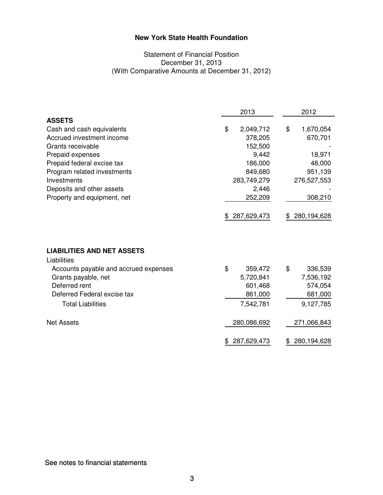# Statement of Financial Position December 31, 2013 (With Comparative Amounts at December 31, 2012)

|                                                  | 2013              | 2012              |
|--------------------------------------------------|-------------------|-------------------|
| <b>ASSETS</b>                                    |                   |                   |
| Cash and cash equivalents                        | \$<br>2,049,712   | \$<br>1,670,054   |
| Accrued investment income                        | 378,205           | 670,701           |
| Grants receivable                                | 152,500           |                   |
| Prepaid expenses                                 | 9,442             | 18,971            |
| Prepaid federal excise tax                       | 186,000           | 48,000            |
| Program related investments                      | 849,680           | 951,139           |
| Investments                                      | 283,749,279       | 276,527,553       |
| Deposits and other assets                        | 2,446             |                   |
| Property and equipment, net                      | 252,209           | 308,210           |
|                                                  | 287,629,473<br>\$ | 280,194,628<br>\$ |
| <b>LIABILITIES AND NET ASSETS</b><br>Liabilities |                   |                   |
| Accounts payable and accrued expenses            | \$<br>359,472     | \$<br>336,539     |
| Grants payable, net                              | 5,720,841         | 7,536,192         |
| Deferred rent                                    | 601,468           | 574,054           |
| Deferred Federal excise tax                      | 861,000           | 681,000           |
| <b>Total Liabilities</b>                         | 7,542,781         | 9,127,785         |
| <b>Net Assets</b>                                | 280,086,692       | 271,066,843       |
|                                                  | \$<br>287,629,473 | 280,194,628<br>\$ |

See notes to financial statements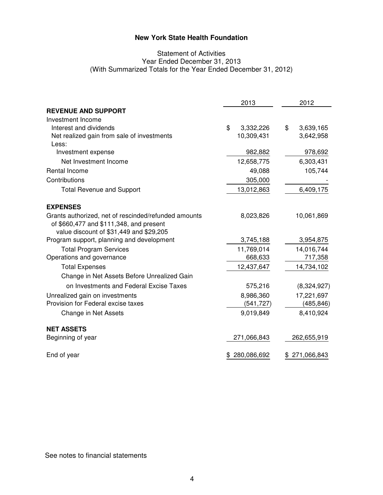# Statement of Activities Year Ended December 31, 2013 (With Summarized Totals for the Year Ended December 31, 2012)

|                                                                                                                                            | 2013            | 2012              |
|--------------------------------------------------------------------------------------------------------------------------------------------|-----------------|-------------------|
| <b>REVENUE AND SUPPORT</b>                                                                                                                 |                 |                   |
| Investment Income                                                                                                                          |                 |                   |
| Interest and dividends                                                                                                                     | \$<br>3,332,226 | \$<br>3,639,165   |
| Net realized gain from sale of investments<br>Less:                                                                                        | 10,309,431      | 3,642,958         |
| Investment expense                                                                                                                         | 982,882         | 978,692           |
| Net Investment Income                                                                                                                      | 12,658,775      | 6,303,431         |
| Rental Income                                                                                                                              | 49,088          | 105,744           |
| Contributions                                                                                                                              | 305,000         |                   |
| <b>Total Revenue and Support</b>                                                                                                           | 13,012,863      | 6,409,175         |
| <b>EXPENSES</b>                                                                                                                            |                 |                   |
| Grants authorized, net of rescinded/refunded amounts<br>of \$660,477 and \$111,348, and present<br>value discount of \$31,449 and \$29,205 | 8,023,826       | 10,061,869        |
| Program support, planning and development                                                                                                  | 3,745,188       | 3,954,875         |
| <b>Total Program Services</b>                                                                                                              | 11,769,014      | 14,016,744        |
| Operations and governance                                                                                                                  | 668,633         | 717,358           |
| <b>Total Expenses</b>                                                                                                                      | 12,437,647      | 14,734,102        |
| Change in Net Assets Before Unrealized Gain                                                                                                |                 |                   |
| on Investments and Federal Excise Taxes                                                                                                    | 575,216         | (8,324,927)       |
| Unrealized gain on investments                                                                                                             | 8,986,360       | 17,221,697        |
| Provision for Federal excise taxes                                                                                                         | (541,727)       | (485, 846)        |
| Change in Net Assets                                                                                                                       | 9,019,849       | 8,410,924         |
| <b>NET ASSETS</b>                                                                                                                          |                 |                   |
| Beginning of year                                                                                                                          | 271,066,843     | 262,655,919       |
| End of year                                                                                                                                | 280,086,692     | 271,066,843<br>\$ |

# See notes to financial statements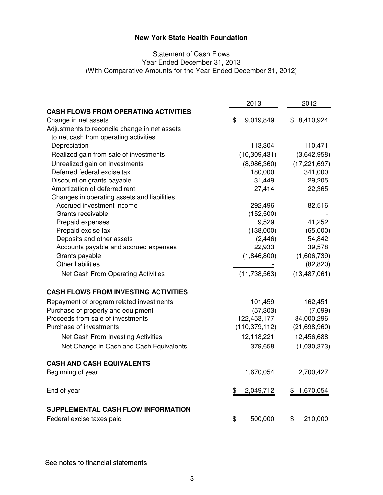# Statement of Cash Flows Year Ended December 31, 2013 (With Comparative Amounts for the Year Ended December 31, 2012)

| 2013                                          |    |                 | 2012 |                |
|-----------------------------------------------|----|-----------------|------|----------------|
| <b>CASH FLOWS FROM OPERATING ACTIVITIES</b>   |    |                 |      |                |
| Change in net assets                          | \$ | 9,019,849       |      | \$8,410,924    |
| Adjustments to reconcile change in net assets |    |                 |      |                |
| to net cash from operating activities         |    |                 |      |                |
| Depreciation                                  |    | 113,304         |      | 110,471        |
| Realized gain from sale of investments        |    | (10, 309, 431)  |      | (3,642,958)    |
| Unrealized gain on investments                |    | (8,986,360)     |      | (17, 221, 697) |
| Deferred federal excise tax                   |    | 180,000         |      | 341,000        |
| Discount on grants payable                    |    | 31,449          |      | 29,205         |
| Amortization of deferred rent                 |    | 27,414          |      | 22,365         |
| Changes in operating assets and liabilities   |    |                 |      |                |
| Accrued investment income                     |    | 292,496         |      | 82,516         |
| Grants receivable                             |    | (152,500)       |      |                |
| Prepaid expenses                              |    | 9,529           |      | 41,252         |
| Prepaid excise tax                            |    | (138,000)       |      | (65,000)       |
| Deposits and other assets                     |    | (2, 446)        |      | 54,842         |
| Accounts payable and accrued expenses         |    | 22,933          |      | 39,578         |
| Grants payable                                |    | (1,846,800)     |      | (1,606,739)    |
| <b>Other liabilities</b>                      |    |                 |      | (82, 820)      |
| Net Cash From Operating Activities            |    | (11, 738, 563)  |      | (13, 487, 061) |
| <b>CASH FLOWS FROM INVESTING ACTIVITIES</b>   |    |                 |      |                |
| Repayment of program related investments      |    | 101,459         |      | 162,451        |
| Purchase of property and equipment            |    | (57, 303)       |      | (7,099)        |
| Proceeds from sale of investments             |    | 122,453,177     |      | 34,000,296     |
| Purchase of investments                       |    | (110, 379, 112) |      | (21,698,960)   |
| Net Cash From Investing Activities            |    | 12,118,221      |      | 12,456,688     |
| Net Change in Cash and Cash Equivalents       |    | 379,658         |      | (1,030,373)    |
| <b>CASH AND CASH EQUIVALENTS</b>              |    |                 |      |                |
| Beginning of year                             |    | 1,670,054       |      | 2,700,427      |
|                                               |    |                 |      |                |
| End of year                                   | \$ | 2,049,712       | \$   | 1,670,054      |
| <b>SUPPLEMENTAL CASH FLOW INFORMATION</b>     |    |                 |      |                |
| Federal excise taxes paid                     | \$ | 500,000         | \$   | 210,000        |

See notes to financial statements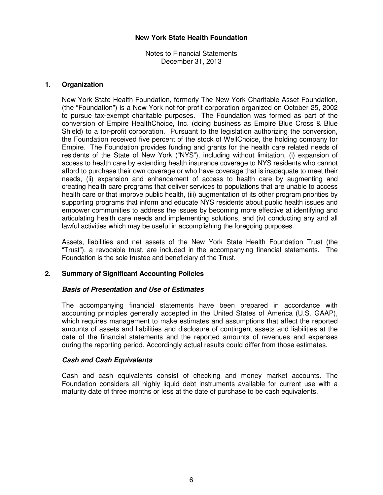Notes to Financial Statements December 31, 2013

## **1. Organization**

New York State Health Foundation, formerly The New York Charitable Asset Foundation, (the "Foundation") is a New York not-for-profit corporation organized on October 25, 2002 to pursue tax-exempt charitable purposes. The Foundation was formed as part of the conversion of Empire HealthChoice, Inc. (doing business as Empire Blue Cross & Blue Shield) to a for-profit corporation. Pursuant to the legislation authorizing the conversion, the Foundation received five percent of the stock of WellChoice, the holding company for Empire. The Foundation provides funding and grants for the health care related needs of residents of the State of New York ("NYS"), including without limitation, (i) expansion of access to health care by extending health insurance coverage to NYS residents who cannot afford to purchase their own coverage or who have coverage that is inadequate to meet their needs, (ii) expansion and enhancement of access to health care by augmenting and creating health care programs that deliver services to populations that are unable to access health care or that improve public health, (iii) augmentation of its other program priorities by supporting programs that inform and educate NYS residents about public health issues and empower communities to address the issues by becoming more effective at identifying and articulating health care needs and implementing solutions, and (iv) conducting any and all lawful activities which may be useful in accomplishing the foregoing purposes.

Assets, liabilities and net assets of the New York State Health Foundation Trust (the "Trust"), a revocable trust, are included in the accompanying financial statements. The Foundation is the sole trustee and beneficiary of the Trust.

# **2. Summary of Significant Accounting Policies**

## **Basis of Presentation and Use of Estimates**

The accompanying financial statements have been prepared in accordance with accounting principles generally accepted in the United States of America (U.S. GAAP), which requires management to make estimates and assumptions that affect the reported amounts of assets and liabilities and disclosure of contingent assets and liabilities at the date of the financial statements and the reported amounts of revenues and expenses during the reporting period. Accordingly actual results could differ from those estimates.

## **Cash and Cash Equivalents**

Cash and cash equivalents consist of checking and money market accounts. The Foundation considers all highly liquid debt instruments available for current use with a maturity date of three months or less at the date of purchase to be cash equivalents.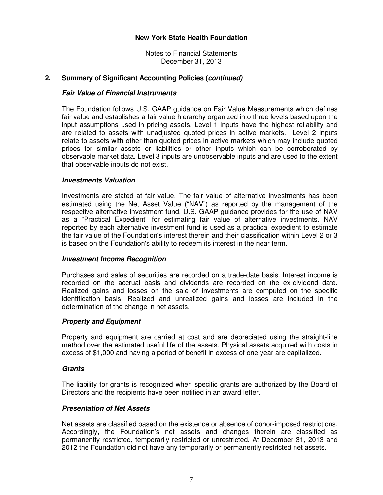Notes to Financial Statements December 31, 2013

# **2. Summary of Significant Accounting Policies (continued)**

# **Fair Value of Financial Instruments**

The Foundation follows U.S. GAAP guidance on Fair Value Measurements which defines fair value and establishes a fair value hierarchy organized into three levels based upon the input assumptions used in pricing assets. Level 1 inputs have the highest reliability and are related to assets with unadjusted quoted prices in active markets. Level 2 inputs relate to assets with other than quoted prices in active markets which may include quoted prices for similar assets or liabilities or other inputs which can be corroborated by observable market data. Level 3 inputs are unobservable inputs and are used to the extent that observable inputs do not exist.

## **Investments Valuation**

Investments are stated at fair value. The fair value of alternative investments has been estimated using the Net Asset Value ("NAV") as reported by the management of the respective alternative investment fund. U.S. GAAP guidance provides for the use of NAV as a "Practical Expedient" for estimating fair value of alternative investments. NAV reported by each alternative investment fund is used as a practical expedient to estimate the fair value of the Foundation's interest therein and their classification within Level 2 or 3 is based on the Foundation's ability to redeem its interest in the near term.

## **Investment Income Recognition**

Purchases and sales of securities are recorded on a trade-date basis. Interest income is recorded on the accrual basis and dividends are recorded on the ex-dividend date. Realized gains and losses on the sale of investments are computed on the specific identification basis. Realized and unrealized gains and losses are included in the determination of the change in net assets.

## **Property and Equipment**

Property and equipment are carried at cost and are depreciated using the straight-line method over the estimated useful life of the assets. Physical assets acquired with costs in excess of \$1,000 and having a period of benefit in excess of one year are capitalized.

## **Grants**

 The liability for grants is recognized when specific grants are authorized by the Board of Directors and the recipients have been notified in an award letter.

## **Presentation of Net Assets**

Net assets are classified based on the existence or absence of donor-imposed restrictions. Accordingly, the Foundation's net assets and changes therein are classified as permanently restricted, temporarily restricted or unrestricted. At December 31, 2013 and 2012 the Foundation did not have any temporarily or permanently restricted net assets.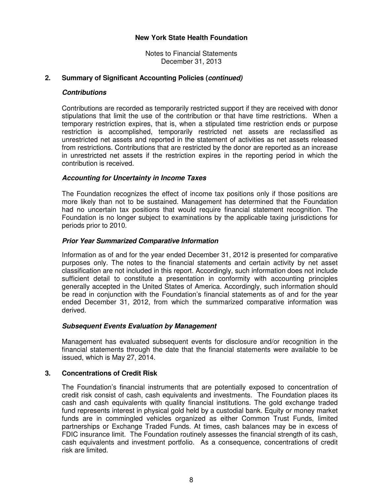Notes to Financial Statements December 31, 2013

# **2. Summary of Significant Accounting Policies (continued)**

## **Contributions**

Contributions are recorded as temporarily restricted support if they are received with donor stipulations that limit the use of the contribution or that have time restrictions. When a temporary restriction expires, that is, when a stipulated time restriction ends or purpose restriction is accomplished, temporarily restricted net assets are reclassified as unrestricted net assets and reported in the statement of activities as net assets released from restrictions. Contributions that are restricted by the donor are reported as an increase in unrestricted net assets if the restriction expires in the reporting period in which the contribution is received.

## **Accounting for Uncertainty in Income Taxes**

The Foundation recognizes the effect of income tax positions only if those positions are more likely than not to be sustained. Management has determined that the Foundation had no uncertain tax positions that would require financial statement recognition. The Foundation is no longer subject to examinations by the applicable taxing jurisdictions for periods prior to 2010.

## **Prior Year Summarized Comparative Information**

Information as of and for the year ended December 31, 2012 is presented for comparative purposes only. The notes to the financial statements and certain activity by net asset classification are not included in this report. Accordingly, such information does not include sufficient detail to constitute a presentation in conformity with accounting principles generally accepted in the United States of America. Accordingly, such information should be read in conjunction with the Foundation's financial statements as of and for the year ended December 31, 2012, from which the summarized comparative information was derived.

## **Subsequent Events Evaluation by Management**

Management has evaluated subsequent events for disclosure and/or recognition in the financial statements through the date that the financial statements were available to be issued, which is May 27, 2014.

## **3. Concentrations of Credit Risk**

The Foundation's financial instruments that are potentially exposed to concentration of credit risk consist of cash, cash equivalents and investments. The Foundation places its cash and cash equivalents with quality financial institutions. The gold exchange traded fund represents interest in physical gold held by a custodial bank. Equity or money market funds are in commingled vehicles organized as either Common Trust Funds, limited partnerships or Exchange Traded Funds. At times, cash balances may be in excess of FDIC insurance limit. The Foundation routinely assesses the financial strength of its cash, cash equivalents and investment portfolio. As a consequence, concentrations of credit risk are limited.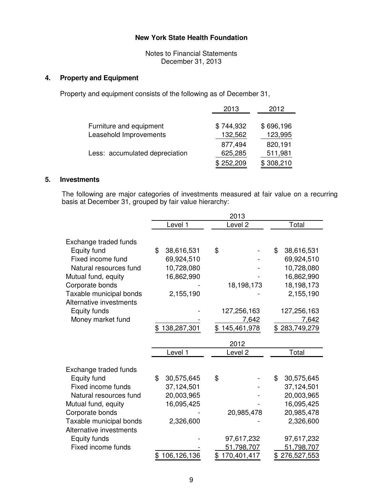Notes to Financial Statements December 31, 2013

# **4. Property and Equipment**

Property and equipment consists of the following as of December 31,

|                                | 2013      | 2012      |
|--------------------------------|-----------|-----------|
|                                |           |           |
| Furniture and equipment        | \$744,932 | \$696,196 |
| Leasehold Improvements         | 132,562   | 123,995   |
|                                | 877,494   | 820,191   |
| Less: accumulated depreciation | 625,285   | 511,981   |
|                                | \$252,209 | \$308,210 |

# **5. Investments**

The following are major categories of investments measured at fair value on a recurring basis at December 31, grouped by fair value hierarchy:

|                         | 2013 |               |    |                    |    |               |
|-------------------------|------|---------------|----|--------------------|----|---------------|
|                         |      | Level 1       |    | Level <sub>2</sub> |    | Total         |
| Exchange traded funds   |      |               |    |                    |    |               |
| Equity fund             | \$   | 38,616,531    | \$ |                    | \$ | 38,616,531    |
| Fixed income fund       |      | 69,924,510    |    |                    |    | 69,924,510    |
| Natural resources fund  |      | 10,728,080    |    |                    |    | 10,728,080    |
| Mutual fund, equity     |      | 16,862,990    |    |                    |    | 16,862,990    |
| Corporate bonds         |      |               |    | 18,198,173         |    | 18,198,173    |
| Taxable municipal bonds |      | 2,155,190     |    |                    |    | 2,155,190     |
| Alternative investments |      |               |    |                    |    |               |
| Equity funds            |      |               |    | 127,256,163        |    | 127,256,163   |
| Money market fund       |      |               |    | 7,642              |    | 7,642         |
|                         | \$   | 138,287,301   | \$ | 145,461,978        |    | \$283,749,279 |
|                         |      |               |    | 2012               |    |               |
|                         |      | Level 1       |    | Level <sub>2</sub> |    | Total         |
| Exchange traded funds   |      |               |    |                    |    |               |
| Equity fund             | \$   | 30,575,645    | \$ |                    | \$ | 30,575,645    |
| Fixed income funds      |      | 37,124,501    |    |                    |    | 37,124,501    |
| Natural resources fund  |      | 20,003,965    |    |                    |    | 20,003,965    |
| Mutual fund, equity     |      | 16,095,425    |    |                    |    | 16,095,425    |
| Corporate bonds         |      |               |    | 20,985,478         |    | 20,985,478    |
| Taxable municipal bonds |      | 2,326,600     |    |                    |    | 2,326,600     |
| Alternative investments |      |               |    |                    |    |               |
| Equity funds            |      |               |    | 97,617,232         |    | 97,617,232    |
| Fixed income funds      |      |               |    | 51,798,707         |    | 51,798,707    |
|                         |      | \$106,126,136 | \$ | 170,401,417        |    | \$276,527,553 |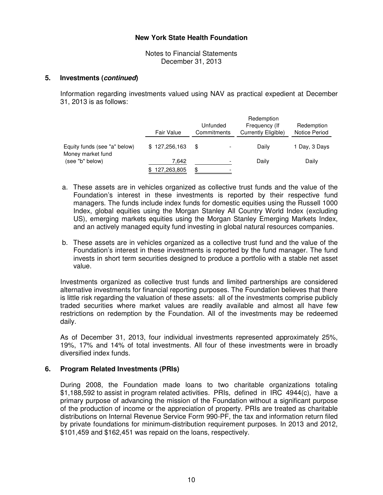Notes to Financial Statements December 31, 2013

#### **5. Investments (continued)**

 Information regarding investments valued using NAV as practical expedient at December 31, 2013 is as follows:

|                                                   | Fair Value    | Unfunded<br>Commitments        | Redemption<br>Frequency (If<br>Currently Eligible) | Redemption<br><b>Notice Period</b> |
|---------------------------------------------------|---------------|--------------------------------|----------------------------------------------------|------------------------------------|
| Equity funds (see "a" below)<br>Money market fund | \$127,256,163 | S                              | Daily                                              | 1 Day, 3 Days                      |
| (see "b" below)                                   | 7,642         |                                | Daily                                              | Daily                              |
|                                                   | 127,263,805   | \$<br>$\overline{\phantom{a}}$ |                                                    |                                    |

- a. These assets are in vehicles organized as collective trust funds and the value of the Foundation's interest in these investments is reported by their respective fund managers. The funds include index funds for domestic equities using the Russell 1000 Index, global equities using the Morgan Stanley All Country World Index (excluding US), emerging markets equities using the Morgan Stanley Emerging Markets Index, and an actively managed equity fund investing in global natural resources companies.
- b. These assets are in vehicles organized as a collective trust fund and the value of the Foundation's interest in these investments is reported by the fund manager. The fund invests in short term securities designed to produce a portfolio with a stable net asset value.

Investments organized as collective trust funds and limited partnerships are considered alternative investments for financial reporting purposes. The Foundation believes that there is little risk regarding the valuation of these assets: all of the investments comprise publicly traded securities where market values are readily available and almost all have few restrictions on redemption by the Foundation. All of the investments may be redeemed daily.

As of December 31, 2013, four individual investments represented approximately 25%, 19%, 17% and 14% of total investments. All four of these investments were in broadly diversified index funds.

# **6. Program Related Investments (PRIs)**

During 2008, the Foundation made loans to two charitable organizations totaling \$1,188,592 to assist in program related activities. PRIs, defined in IRC 4944(c), have a primary purpose of advancing the mission of the Foundation without a significant purpose of the production of income or the appreciation of property. PRIs are treated as charitable distributions on Internal Revenue Service Form 990-PF, the tax and information return filed by private foundations for minimum-distribution requirement purposes. In 2013 and 2012, \$101,459 and \$162,451 was repaid on the loans, respectively.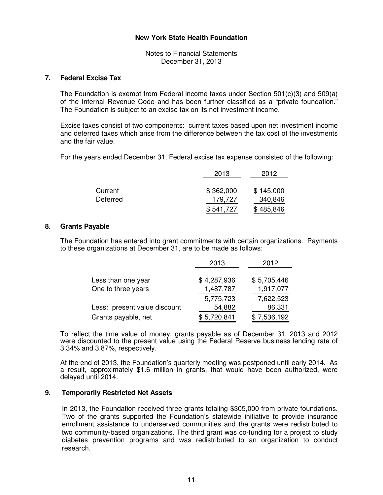Notes to Financial Statements December 31, 2013

## **7. Federal Excise Tax**

 The Foundation is exempt from Federal income taxes under Section 501(c)(3) and 509(a) of the Internal Revenue Code and has been further classified as a "private foundation." The Foundation is subject to an excise tax on its net investment income.

 Excise taxes consist of two components: current taxes based upon net investment income and deferred taxes which arise from the difference between the tax cost of the investments and the fair value.

For the years ended December 31, Federal excise tax expense consisted of the following:

|          | 2013      | 2012      |  |
|----------|-----------|-----------|--|
|          |           |           |  |
| Current  | \$362,000 | \$145,000 |  |
| Deferred | 179,727   | 340,846   |  |
|          | \$541,727 | \$485,846 |  |

#### **8. Grants Payable**

 The Foundation has entered into grant commitments with certain organizations. Payments to these organizations at December 31, are to be made as follows:

|                              | 2013        | 2012        |
|------------------------------|-------------|-------------|
|                              |             |             |
| Less than one year           | \$4,287,936 | \$5,705,446 |
| One to three years           | 1,487,787   | 1,917,077   |
|                              | 5,775,723   | 7,622,523   |
| Less: present value discount | 54,882      | 86,331      |
| Grants payable, net          | \$5,720,841 | \$7,536,192 |

 To reflect the time value of money, grants payable as of December 31, 2013 and 2012 were discounted to the present value using the Federal Reserve business lending rate of 3.34% and 3.87%, respectively.

 At the end of 2013, the Foundation's quarterly meeting was postponed until early 2014. As a result, approximately \$1.6 million in grants, that would have been authorized, were delayed until 2014.

#### **9. Temporarily Restricted Net Assets**

In 2013, the Foundation received three grants totaling \$305,000 from private foundations. Two of the grants supported the Foundation's statewide initiative to provide insurance enrollment assistance to underserved communities and the grants were redistributed to two community-based organizations. The third grant was co-funding for a project to study diabetes prevention programs and was redistributed to an organization to conduct research.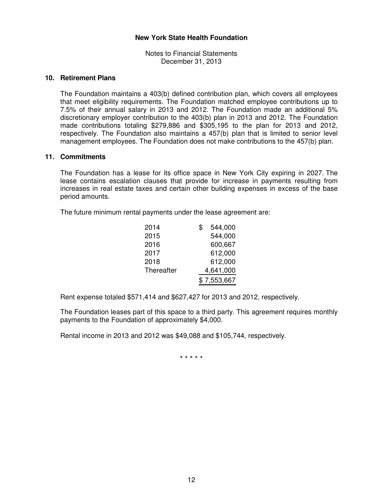Notes to Financial Statements December 31, 2013

#### **10. Retirement Plans**

 The Foundation maintains a 403(b) defined contribution plan, which covers all employees that meet eligibility requirements. The Foundation matched employee contributions up to 7.5% of their annual salary in 2013 and 2012. The Foundation made an additional 5% discretionary employer contribution to the 403(b) plan in 2013 and 2012. The Foundation made contributions totaling \$279,886 and \$305,195 to the plan for 2013 and 2012, respectively. The Foundation also maintains a 457(b) plan that is limited to senior level management employees. The Foundation does not make contributions to the 457(b) plan.

#### **11. Commitments**

The Foundation has a lease for its office space in New York City expiring in 2027. The lease contains escalation clauses that provide for increase in payments resulting from increases in real estate taxes and certain other building expenses in excess of the base period amounts.

The future minimum rental payments under the lease agreement are:

| 2014       | 544,000<br>\$. |
|------------|----------------|
| 2015       | 544,000        |
| 2016       | 600,667        |
| 2017       | 612,000        |
| 2018       | 612,000        |
| Thereafter | 4,641,000      |
|            | \$7,553,667    |

Rent expense totaled \$571,414 and \$627,427 for 2013 and 2012, respectively.

The Foundation leases part of this space to a third party. This agreement requires monthly payments to the Foundation of approximately \$4,000.

Rental income in 2013 and 2012 was \$49,088 and \$105,744, respectively.

\* \* \* \* \*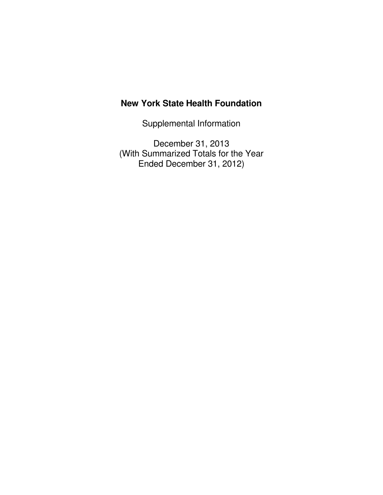Supplemental Information

December 31, 2013 (With Summarized Totals for the Year Ended December 31, 2012)